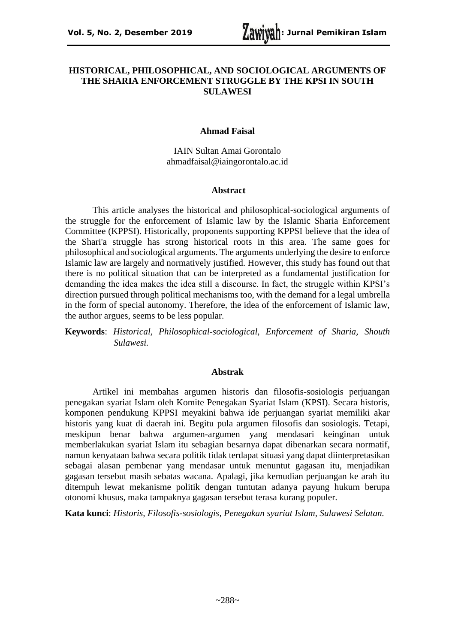### **HISTORICAL, PHILOSOPHICAL, AND SOCIOLOGICAL ARGUMENTS OF THE SHARIA ENFORCEMENT STRUGGLE BY THE KPSI IN SOUTH SULAWESI**

#### **Ahmad Faisal**

IAIN Sultan Amai Gorontalo ahmadfaisal@iaingorontalo.ac.id

### **Abstract**

This article analyses the historical and philosophical-sociological arguments of the struggle for the enforcement of Islamic law by the Islamic Sharia Enforcement Committee (KPPSI). Historically, proponents supporting KPPSI believe that the idea of the Shari'a struggle has strong historical roots in this area. The same goes for philosophical and sociological arguments. The arguments underlying the desire to enforce Islamic law are largely and normatively justified. However, this study has found out that there is no political situation that can be interpreted as a fundamental justification for demanding the idea makes the idea still a discourse. In fact, the struggle within KPSI's direction pursued through political mechanisms too, with the demand for a legal umbrella in the form of special autonomy. Therefore, the idea of the enforcement of Islamic law, the author argues, seems to be less popular.

**Keywords**: *Historical, Philosophical-sociological, Enforcement of Sharia, Shouth Sulawesi.*

#### **Abstrak**

Artikel ini membahas argumen historis dan filosofis-sosiologis perjuangan penegakan syariat Islam oleh Komite Penegakan Syariat Islam (KPSI). Secara historis, komponen pendukung KPPSI meyakini bahwa ide perjuangan syariat memiliki akar historis yang kuat di daerah ini. Begitu pula argumen filosofis dan sosiologis. Tetapi, meskipun benar bahwa argumen-argumen yang mendasari keinginan untuk memberlakukan syariat Islam itu sebagian besarnya dapat dibenarkan secara normatif, namun kenyataan bahwa secara politik tidak terdapat situasi yang dapat diinterpretasikan sebagai alasan pembenar yang mendasar untuk menuntut gagasan itu, menjadikan gagasan tersebut masih sebatas wacana. Apalagi, jika kemudian perjuangan ke arah itu ditempuh lewat mekanisme politik dengan tuntutan adanya payung hukum berupa otonomi khusus, maka tampaknya gagasan tersebut terasa kurang populer.

**Kata kunci**: *Historis, Filosofis-sosiologis, Penegakan syariat Islam, Sulawesi Selatan.*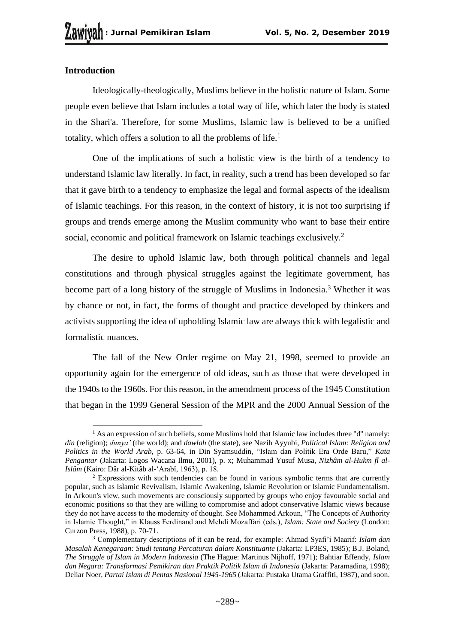## **Introduction**

Ideologically-theologically, Muslims believe in the holistic nature of Islam. Some people even believe that Islam includes a total way of life, which later the body is stated in the Shari'a. Therefore, for some Muslims, Islamic law is believed to be a unified totality, which offers a solution to all the problems of life.<sup>1</sup>

One of the implications of such a holistic view is the birth of a tendency to understand Islamic law literally. In fact, in reality, such a trend has been developed so far that it gave birth to a tendency to emphasize the legal and formal aspects of the idealism of Islamic teachings. For this reason, in the context of history, it is not too surprising if groups and trends emerge among the Muslim community who want to base their entire social, economic and political framework on Islamic teachings exclusively.<sup>2</sup>

The desire to uphold Islamic law, both through political channels and legal constitutions and through physical struggles against the legitimate government, has become part of a long history of the struggle of Muslims in Indonesia.<sup>3</sup> Whether it was by chance or not, in fact, the forms of thought and practice developed by thinkers and activists supporting the idea of upholding Islamic law are always thick with legalistic and formalistic nuances.

The fall of the New Order regime on May 21, 1998, seemed to provide an opportunity again for the emergence of old ideas, such as those that were developed in the 1940s to the 1960s. For this reason, in the amendment process of the 1945 Constitution that began in the 1999 General Session of the MPR and the 2000 Annual Session of the

 $<sup>1</sup>$  As an expression of such beliefs, some Muslims hold that Islamic law includes three "d" namely:</sup> *din* (religion); *dunya'* (the world); and *dawlah* (the state), see Nazih Ayyubi, *Political Islam: Religion and Politics in the World Arab*, p. 63-64, in Din Syamsuddin, "Islam dan Politik Era Orde Baru," *Kata Pengantar* (Jakarta: Logos Wacana Ilmu, 2001), p. x; Muhammad Yusuf Musa, *Nizhâm al-Hukm fî al-Islâm* (Kairo: Dâr al-Kitâb al-'Arabî, 1963), p. 18.

<sup>2</sup> Expressions with such tendencies can be found in various symbolic terms that are currently popular, such as Islamic Revivalism, Islamic Awakening, Islamic Revolution or Islamic Fundamentalism. In Arkoun's view, such movements are consciously supported by groups who enjoy favourable social and economic positions so that they are willing to compromise and adopt conservative Islamic views because they do not have access to the modernity of thought. See Mohammed Arkoun, "The Concepts of Authority in Islamic Thought," in Klauss Ferdinand and Mehdi Mozaffari (eds.), *Islam: State and Society* (London: Curzon Press, 1988), p. 70-71.

<sup>3</sup> Complementary descriptions of it can be read, for example: Ahmad Syafi'i Maarif: *Islam dan Masalah Kenegaraan: Studi tentang Percaturan dalam Konstituante* (Jakarta: LP3ES, 1985); B.J. Boland, *The Struggle of Islam in Modern Indonesia* (The Hague: Martinus Nijhoff, 1971); Bahtiar Effendy, *Islam dan Negara: Transformasi Pemikiran dan Praktik Politik Islam di Indonesia* (Jakarta: Paramadina, 1998); Deliar Noer, *Partai Islam di Pentas Nasional 1945-1965* (Jakarta: Pustaka Utama Graffiti, 1987), and soon.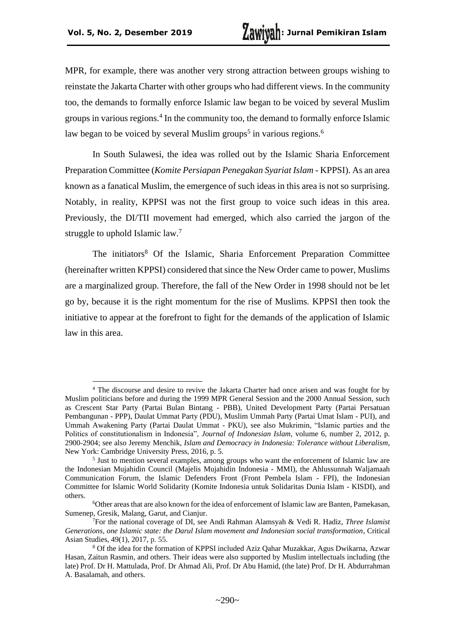MPR, for example, there was another very strong attraction between groups wishing to reinstate the Jakarta Charter with other groups who had different views. In the community too, the demands to formally enforce Islamic law began to be voiced by several Muslim groups in various regions.<sup>4</sup> In the community too, the demand to formally enforce Islamic law began to be voiced by several Muslim groups<sup>5</sup> in various regions.<sup>6</sup>

In South Sulawesi, the idea was rolled out by the Islamic Sharia Enforcement Preparation Committee (*Komite Persiapan Penegakan Syariat Islam* - KPPSI). As an area known as a fanatical Muslim, the emergence of such ideas in this area is not so surprising. Notably, in reality, KPPSI was not the first group to voice such ideas in this area. Previously, the DI/TII movement had emerged, which also carried the jargon of the struggle to uphold Islamic law.<sup>7</sup>

The initiators<sup>8</sup> Of the Islamic, Sharia Enforcement Preparation Committee (hereinafter written KPPSI) considered that since the New Order came to power, Muslims are a marginalized group. Therefore, the fall of the New Order in 1998 should not be let go by, because it is the right momentum for the rise of Muslims. KPPSI then took the initiative to appear at the forefront to fight for the demands of the application of Islamic law in this area.

<sup>4</sup> The discourse and desire to revive the Jakarta Charter had once arisen and was fought for by Muslim politicians before and during the 1999 MPR General Session and the 2000 Annual Session, such as Crescent Star Party (Partai Bulan Bintang - PBB), United Development Party (Partai Persatuan Pembangunan - PPP), Daulat Ummat Party (PDU), Muslim Ummah Party (Partai Umat Islam - PUI), and Ummah Awakening Party (Partai Daulat Ummat - PKU), see also Mukrimin, "Islamic parties and the Politics of constitutionalism in Indonesia", *Journal of Indonesian Islam,* volume 6, number 2, 2012, p. 2900-2904; see also Jeremy Menchik, *Islam and Democracy in Indonesia: Tolerance without Liberalism*, New York: Cambridge University Press, 2016, p. 5.

<sup>&</sup>lt;sup>5</sup> Just to mention several examples, among groups who want the enforcement of Islamic law are the Indonesian Mujahidin Council (Majelis Mujahidin Indonesia - MMI), the Ahlussunnah Waljamaah Communication Forum, the Islamic Defenders Front (Front Pembela Islam - FPI), the Indonesian Committee for Islamic World Solidarity (Komite Indonesia untuk Solidaritas Dunia Islam - KISDI), and others.

<sup>6</sup>Other areas that are also known for the idea of enforcement of Islamic law are Banten, Pamekasan, Sumenep, Gresik, Malang, Garut, and Cianjur.

<sup>7</sup>For the national coverage of DI, see Andi Rahman Alamsyah & Vedi R. Hadiz, *Three Islamist Generations, one Islamic state: the Darul Islam movement and Indonesian social transformation*, Critical Asian Studies, 49(1), 2017, p. 55.

<sup>8</sup> Of the idea for the formation of KPPSI included Aziz Qahar Muzakkar, Agus Dwikarna, Azwar Hasan, Zaitun Rasmin, and others. Their ideas were also supported by Muslim intellectuals including (the late) Prof. Dr H. Mattulada, Prof. Dr Ahmad Ali, Prof. Dr Abu Hamid, (the late) Prof. Dr H. Abdurrahman A. Basalamah, and others.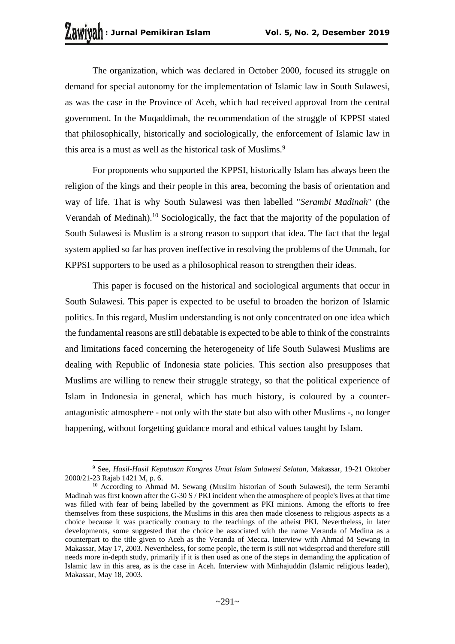The organization, which was declared in October 2000, focused its struggle on demand for special autonomy for the implementation of Islamic law in South Sulawesi, as was the case in the Province of Aceh, which had received approval from the central government. In the Muqaddimah, the recommendation of the struggle of KPPSI stated that philosophically, historically and sociologically, the enforcement of Islamic law in this area is a must as well as the historical task of Muslims.<sup>9</sup>

For proponents who supported the KPPSI, historically Islam has always been the religion of the kings and their people in this area, becoming the basis of orientation and way of life. That is why South Sulawesi was then labelled "*Serambi Madinah*" (the Verandah of Medinah).<sup>10</sup> Sociologically, the fact that the majority of the population of South Sulawesi is Muslim is a strong reason to support that idea. The fact that the legal system applied so far has proven ineffective in resolving the problems of the Ummah, for KPPSI supporters to be used as a philosophical reason to strengthen their ideas.

This paper is focused on the historical and sociological arguments that occur in South Sulawesi. This paper is expected to be useful to broaden the horizon of Islamic politics. In this regard, Muslim understanding is not only concentrated on one idea which the fundamental reasons are still debatable is expected to be able to think of the constraints and limitations faced concerning the heterogeneity of life South Sulawesi Muslims are dealing with Republic of Indonesia state policies. This section also presupposes that Muslims are willing to renew their struggle strategy, so that the political experience of Islam in Indonesia in general, which has much history, is coloured by a counterantagonistic atmosphere - not only with the state but also with other Muslims -, no longer happening, without forgetting guidance moral and ethical values taught by Islam.

<sup>9</sup> See, *Hasil-Hasil Keputusan Kongres Umat Islam Sulawesi Selatan*, Makassar, 19-21 Oktober 2000/21-23 Rajab 1421 M, p. 6.

<sup>&</sup>lt;sup>10</sup> According to Ahmad M. Sewang (Muslim historian of South Sulawesi), the term Serambi Madinah was first known after the G-30 S / PKI incident when the atmosphere of people's lives at that time was filled with fear of being labelled by the government as PKI minions. Among the efforts to free themselves from these suspicions, the Muslims in this area then made closeness to religious aspects as a choice because it was practically contrary to the teachings of the atheist PKI. Nevertheless, in later developments, some suggested that the choice be associated with the name Veranda of Medina as a counterpart to the title given to Aceh as the Veranda of Mecca. Interview with Ahmad M Sewang in Makassar, May 17, 2003. Nevertheless, for some people, the term is still not widespread and therefore still needs more in-depth study, primarily if it is then used as one of the steps in demanding the application of Islamic law in this area, as is the case in Aceh. Interview with Minhajuddin (Islamic religious leader), Makassar, May 18, 2003.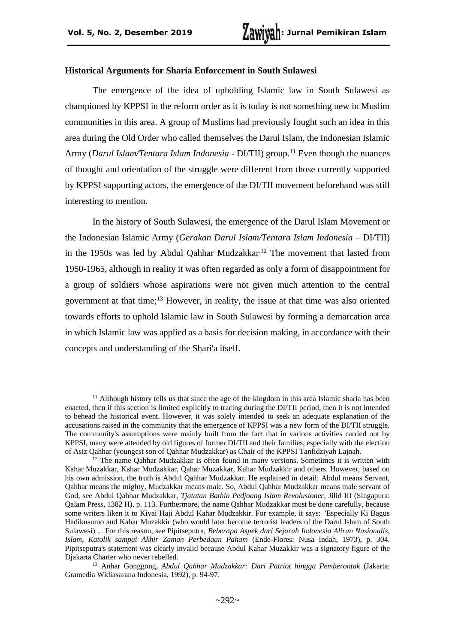#### **Historical Arguments for Sharia Enforcement in South Sulawesi**

The emergence of the idea of upholding Islamic law in South Sulawesi as championed by KPPSI in the reform order as it is today is not something new in Muslim communities in this area. A group of Muslims had previously fought such an idea in this area during the Old Order who called themselves the Darul Islam, the Indonesian Islamic Army (*Darul Islam/Tentara Islam Indonesia* - DI/TII) group.<sup>11</sup> Even though the nuances of thought and orientation of the struggle were different from those currently supported by KPPSI supporting actors, the emergence of the DI/TII movement beforehand was still interesting to mention.

In the history of South Sulawesi, the emergence of the Darul Islam Movement or the Indonesian Islamic Army (*Gerakan Darul Islam/Tentara Islam Indonesia* – DI/TII) in the 1950s was led by Abdul Qahhar Mudzakkar<sup>12</sup> The movement that lasted from 1950-1965, although in reality it was often regarded as only a form of disappointment for a group of soldiers whose aspirations were not given much attention to the central government at that time;<sup>13</sup> However, in reality, the issue at that time was also oriented towards efforts to uphold Islamic law in South Sulawesi by forming a demarcation area in which Islamic law was applied as a basis for decision making, in accordance with their concepts and understanding of the Shari'a itself.

<sup>&</sup>lt;sup>11</sup> Although history tells us that since the age of the kingdom in this area Islamic sharia has been enacted, then if this section is limited explicitly to tracing during the DI/TII period, then it is not intended to behead the historical event. However, it was solely intended to seek an adequate explanation of the accusations raised in the community that the emergence of KPPSI was a new form of the DI/TII struggle. The community's assumptions were mainly built from the fact that in various activities carried out by KPPSI, many were attended by old figures of former DI/TII and their families, especially with the election of Asiz Qahhar (youngest son of Qahhar Mudzakkar) as Chair of the KPPSI Tanfidziyah Lajnah.

<sup>&</sup>lt;sup>12</sup> The name Qahhar Mudzakkar is often found in many versions. Sometimes it is written with Kahar Muzakkar, Kahar Mudzakkar, Qahar Muzakkar, Kahar Mudzakkir and others. However, based on his own admission, the truth is Abdul Qahhar Mudzakkar. He explained in detail; Abdul means Servant, Qahhar means the mighty, Mudzakkar means male. So, Abdul Qahhar Mudzakkar means male servant of God, see Abdul Qahhar Mudzakkar, *Tjatatan Bathin Pedjoang Islam Revolusioner*, Jilid III (Singapura: Qalam Press, 1382 H), p. 113. Furthermore, the name Qahhar Mudzakkar must be done carefully, because some writers liken it to Kiyai Haji Abdul Kahar Mudzakkir. For example, it says: "Especially Ki Bagus Hadikusumo and Kahar Muzakkir (who would later become terrorist leaders of the Darul Islam of South Sulawesi) ... For this reason, see Pipitseputra, *Beberapa Aspek dari Sejarah Indonesia Aliran Nasionalis, Islam, Katolik sampai Akhir Zaman Perbedaan Paham* (Ende-Flores: Nusa Indah, 1973), p. 304. Pipitseputra's statement was clearly invalid because Abdul Kahar Muzakkir was a signatory figure of the Djakarta Charter who never rebelled.

<sup>13</sup> Anhar Gonggong, *Abdul Qahhar Mudzakkar: Dari Patriot hingga Pemberontak* (Jakarta: Gramedia Widiasarana Indonesia, 1992), p. 94-97.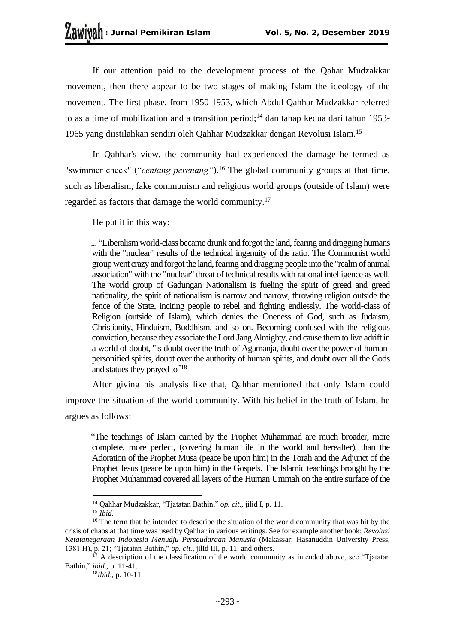If our attention paid to the development process of the Qahar Mudzakkar movement, then there appear to be two stages of making Islam the ideology of the movement. The first phase, from 1950-1953, which Abdul Qahhar Mudzakkar referred to as a time of mobilization and a transition period;<sup>14</sup> dan tahap kedua dari tahun 1953-1965 yang diistilahkan sendiri oleh Qahhar Mudzakkar dengan Revolusi Islam.<sup>15</sup>

In Qahhar's view, the community had experienced the damage he termed as "swimmer check" ("*centang perenang*").<sup>16</sup> The global community groups at that time, such as liberalism, fake communism and religious world groups (outside of Islam) were regarded as factors that damage the world community.<sup>17</sup>

He put it in this way:

... "Liberalism world-class became drunk and forgot the land, fearing and dragging humans with the "nuclear" results of the technical ingenuity of the ratio. The Communist world group went crazy and forgot the land, fearing and dragging people into the "realm of animal association" with the "nuclear" threat of technical results with rational intelligence as well. The world group of Gadungan Nationalism is fueling the spirit of greed and greed nationality, the spirit of nationalism is narrow and narrow, throwing religion outside the fence of the State, inciting people to rebel and fighting endlessly. The world-class of Religion (outside of Islam), which denies the Oneness of God, such as Judaism, Christianity, Hinduism, Buddhism, and so on. Becoming confused with the religious conviction, because they associate the Lord Jang Almighty, and cause them to live adrift in a world of doubt, "is doubt over the truth of Agamanja, doubt over the power of humanpersonified spirits, doubt over the authority of human spirits, and doubt over all the Gods and statues they prayed to."18

After giving his analysis like that, Qahhar mentioned that only Islam could improve the situation of the world community. With his belief in the truth of Islam, he argues as follows:

"The teachings of Islam carried by the Prophet Muhammad are much broader, more complete, more perfect, (covering human life in the world and hereafter), than the Adoration of the Prophet Musa (peace be upon him) in the Torah and the Adjunct of the Prophet Jesus (peace be upon him) in the Gospels. The Islamic teachings brought by the Prophet Muhammad covered all layers of the Human Ummah on the entire surface of the

<sup>14</sup> Qahhar Mudzakkar, "Tjatatan Bathin," *op. cit*., jilid I, p. 11.

 $15$  *Ibid.* 

<sup>&</sup>lt;sup>16</sup> The term that he intended to describe the situation of the world community that was hit by the crisis of chaos at that time was used by Qahhar in various writings. See for example another book: *Revolusi Ketatanegaraan Indonesia Menudju Persaudaraan Manusia* (Makassar: Hasanuddin University Press, 1381 H), p. 21; "Tjatatan Bathin," *op. cit.*, jilid III, p. 11, and others.

 $^{17}$  A description of the classification of the world community as intended above, see "Tiatatan" Bathin," *ibid*., p. 11-41.

<sup>18</sup>*Ibid*., p. 10-11.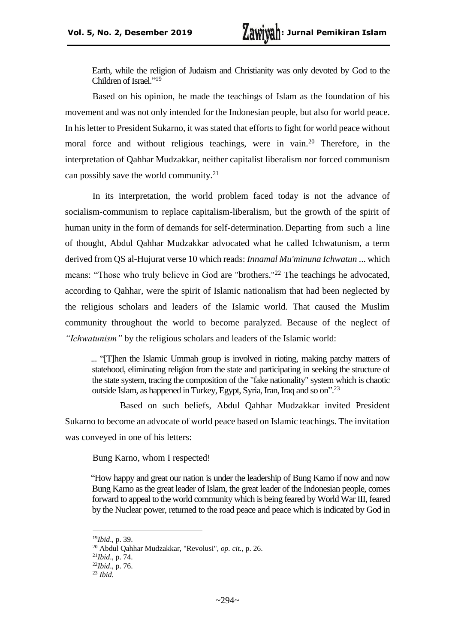Earth, while the religion of Judaism and Christianity was only devoted by God to the Children of Israel." 19

Based on his opinion, he made the teachings of Islam as the foundation of his movement and was not only intended for the Indonesian people, but also for world peace. In his letter to President Sukarno, it was stated that efforts to fight for world peace without moral force and without religious teachings, were in vain.<sup>20</sup> Therefore, in the interpretation of Qahhar Mudzakkar, neither capitalist liberalism nor forced communism can possibly save the world community.<sup>21</sup>

In its interpretation, the world problem faced today is not the advance of socialism-communism to replace capitalism-liberalism, but the growth of the spirit of human unity in the form of demands for self-determination. Departing from such a line of thought, Abdul Qahhar Mudzakkar advocated what he called Ichwatunism, a term derived from QS al-Hujurat verse 10 which reads: *Innamal Mu'minuna Ichwatun* ... which means: "Those who truly believe in God are "brothers."<sup>22</sup> The teachings he advocated, according to Qahhar, were the spirit of Islamic nationalism that had been neglected by the religious scholars and leaders of the Islamic world. That caused the Muslim community throughout the world to become paralyzed. Because of the neglect of *"Ichwatunism"* by the religious scholars and leaders of the Islamic world:

... "[T]hen the Islamic Ummah group is involved in rioting, making patchy matters of statehood, eliminating religion from the state and participating in seeking the structure of the state system, tracing the composition of the "fake nationality" system which is chaotic outside Islam, as happened in Turkey, Egypt, Syria, Iran, Iraq and so on". 23

Based on such beliefs, Abdul Qahhar Mudzakkar invited President Sukarno to become an advocate of world peace based on Islamic teachings. The invitation was conveyed in one of his letters:

Bung Karno, whom I respected!

"How happy and great our nation is under the leadership of Bung Karno if now and now Bung Karno as the great leader of Islam, the great leader of the Indonesian people, comes forward to appeal to the world community which is being feared by World War III, feared by the Nuclear power, returned to the road peace and peace which is indicated by God in

<sup>19</sup>*Ibid*., p. 39.

<sup>20</sup> Abdul Qahhar Mudzakkar, "Revolusi", *op. cit.*, p. 26.

<sup>21</sup>*Ibid*., p. 74.

<sup>22</sup>*Ibid*., p. 76.

<sup>23</sup> *Ibid*.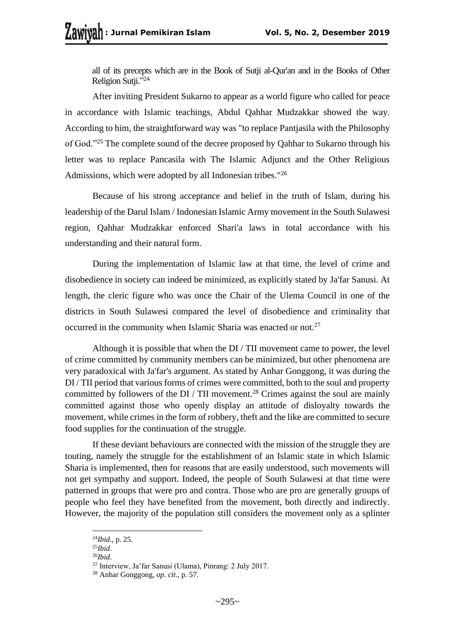all of its precepts which are in the Book of Sutji al-Qur'an and in the Books of Other Religion Sutji." 24

After inviting President Sukarno to appear as a world figure who called for peace in accordance with Islamic teachings, Abdul Qahhar Mudzakkar showed the way. According to him, the straightforward way was "to replace Pantjasila with the Philosophy of God."<sup>25</sup> The complete sound of the decree proposed by Qahhar to Sukarno through his letter was to replace Pancasila with The Islamic Adjunct and the Other Religious Admissions, which were adopted by all Indonesian tribes."<sup>26</sup>

Because of his strong acceptance and belief in the truth of Islam, during his leadership of the Darul Islam / Indonesian Islamic Army movement in the South Sulawesi region, Qahhar Mudzakkar enforced Shari'a laws in total accordance with his understanding and their natural form.

During the implementation of Islamic law at that time, the level of crime and disobedience in society can indeed be minimized, as explicitly stated by Ja'far Sanusi. At length, the cleric figure who was once the Chair of the Ulema Council in one of the districts in South Sulawesi compared the level of disobedience and criminality that occurred in the community when Islamic Sharia was enacted or not.<sup>27</sup>

Although it is possible that when the DI / TII movement came to power, the level of crime committed by community members can be minimized, but other phenomena are very paradoxical with Ja'far's argument. As stated by Anhar Gonggong, it was during the DI / TII period that various forms of crimes were committed, both to the soul and property committed by followers of the  $DI / TII$  movement.<sup>28</sup> Crimes against the soul are mainly committed against those who openly display an attitude of disloyalty towards the movement, while crimes in the form of robbery, theft and the like are committed to secure food supplies for the continuation of the struggle.

If these deviant behaviours are connected with the mission of the struggle they are touting, namely the struggle for the establishment of an Islamic state in which Islamic Sharia is implemented, then for reasons that are easily understood, such movements will not get sympathy and support. Indeed, the people of South Sulawesi at that time were patterned in groups that were pro and contra. Those who are pro are generally groups of people who feel they have benefited from the movement, both directly and indirectly. However, the majority of the population still considers the movement only as a splinter

<sup>24</sup>*Ibid*., p. 25.

<sup>25</sup>*Ibid*.

<sup>26</sup>*Ibid*.

<sup>27</sup> Interview, Ja'far Sanusi (Ulama), Pinrang: 2 July 2017.

<sup>28</sup> Anhar Gonggong, *op. cit*., p. 57.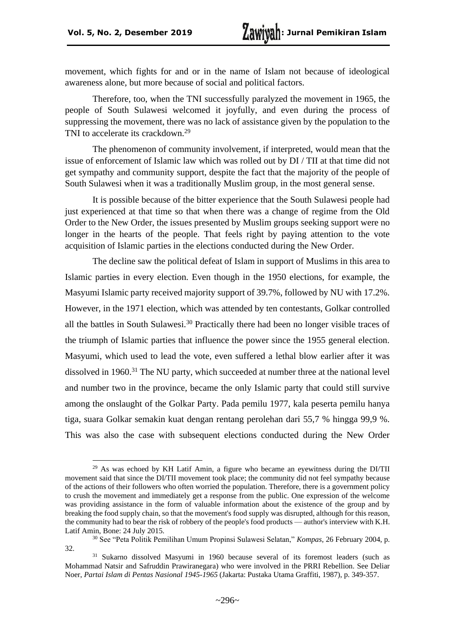movement, which fights for and or in the name of Islam not because of ideological awareness alone, but more because of social and political factors.

Therefore, too, when the TNI successfully paralyzed the movement in 1965, the people of South Sulawesi welcomed it joyfully, and even during the process of suppressing the movement, there was no lack of assistance given by the population to the TNI to accelerate its crackdown.<sup>29</sup>

The phenomenon of community involvement, if interpreted, would mean that the issue of enforcement of Islamic law which was rolled out by DI / TII at that time did not get sympathy and community support, despite the fact that the majority of the people of South Sulawesi when it was a traditionally Muslim group, in the most general sense.

It is possible because of the bitter experience that the South Sulawesi people had just experienced at that time so that when there was a change of regime from the Old Order to the New Order, the issues presented by Muslim groups seeking support were no longer in the hearts of the people. That feels right by paying attention to the vote acquisition of Islamic parties in the elections conducted during the New Order.

The decline saw the political defeat of Islam in support of Muslims in this area to Islamic parties in every election. Even though in the 1950 elections, for example, the Masyumi Islamic party received majority support of 39.7%, followed by NU with 17.2%. However, in the 1971 election, which was attended by ten contestants, Golkar controlled all the battles in South Sulawesi.<sup>30</sup> Practically there had been no longer visible traces of the triumph of Islamic parties that influence the power since the 1955 general election. Masyumi, which used to lead the vote, even suffered a lethal blow earlier after it was dissolved in 1960.<sup>31</sup> The NU party, which succeeded at number three at the national level and number two in the province, became the only Islamic party that could still survive among the onslaught of the Golkar Party. Pada pemilu 1977, kala peserta pemilu hanya tiga, suara Golkar semakin kuat dengan rentang perolehan dari 55,7 % hingga 99,9 %. This was also the case with subsequent elections conducted during the New Order

 $29$  As was echoed by KH Latif Amin, a figure who became an eyewitness during the DI/TII movement said that since the DI/TII movement took place; the community did not feel sympathy because of the actions of their followers who often worried the population. Therefore, there is a government policy to crush the movement and immediately get a response from the public. One expression of the welcome was providing assistance in the form of valuable information about the existence of the group and by breaking the food supply chain, so that the movement's food supply was disrupted, although for this reason, the community had to bear the risk of robbery of the people's food products — author's interview with K.H. Latif Amin, Bone: 24 July 2015.

<sup>30</sup> See "Peta Politik Pemilihan Umum Propinsi Sulawesi Selatan," *Kompas*, 26 February 2004, p. 32.

<sup>31</sup> Sukarno dissolved Masyumi in 1960 because several of its foremost leaders (such as Mohammad Natsir and Safruddin Prawiranegara) who were involved in the PRRI Rebellion. See Deliar Noer, *Partai Islam di Pentas Nasional 1945-1965* (Jakarta: Pustaka Utama Graffiti, 1987), p. 349-357.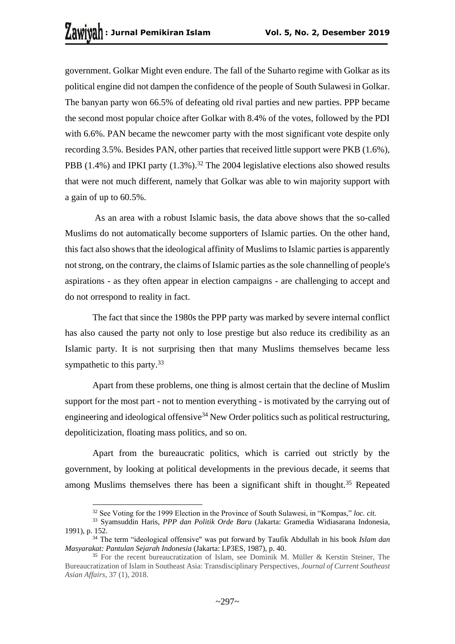government. Golkar Might even endure. The fall of the Suharto regime with Golkar as its political engine did not dampen the confidence of the people of South Sulawesi in Golkar. The banyan party won 66.5% of defeating old rival parties and new parties. PPP became the second most popular choice after Golkar with 8.4% of the votes, followed by the PDI with 6.6%. PAN became the newcomer party with the most significant vote despite only recording 3.5%. Besides PAN, other parties that received little support were PKB (1.6%), PBB (1.4%) and IPKI party (1.3%).<sup>32</sup> The 2004 legislative elections also showed results that were not much different, namely that Golkar was able to win majority support with a gain of up to 60.5%.

As an area with a robust Islamic basis, the data above shows that the so-called Muslims do not automatically become supporters of Islamic parties. On the other hand, this fact also shows that the ideological affinity of Muslims to Islamic parties is apparently not strong, on the contrary, the claims of Islamic parties as the sole channelling of people's aspirations - as they often appear in election campaigns - are challenging to accept and do not orrespond to reality in fact.

The fact that since the 1980s the PPP party was marked by severe internal conflict has also caused the party not only to lose prestige but also reduce its credibility as an Islamic party. It is not surprising then that many Muslims themselves became less sympathetic to this party.<sup>33</sup>

Apart from these problems, one thing is almost certain that the decline of Muslim support for the most part - not to mention everything - is motivated by the carrying out of engineering and ideological offensive<sup>34</sup> New Order politics such as political restructuring, depoliticization, floating mass politics, and so on.

Apart from the bureaucratic politics, which is carried out strictly by the government, by looking at political developments in the previous decade, it seems that among Muslims themselves there has been a significant shift in thought.<sup>35</sup> Repeated

<sup>32</sup> See Voting for the 1999 Election in the Province of South Sulawesi, in "Kompas," *loc. cit.*

<sup>33</sup> Syamsuddin Haris, *PPP dan Politik Orde Baru* (Jakarta: Gramedia Widiasarana Indonesia, 1991), p. 152.

<sup>34</sup> The term "ideological offensive" was put forward by Taufik Abdullah in his book *Islam dan Masyarakat: Pantulan Sejarah Indonesia* (Jakarta: LP3ES, 1987), p. 40.

<sup>35</sup> For the recent bureaucratization of Islam, see Dominik M. Müller & Kerstin Steiner, The Bureaucratization of Islam in Southeast Asia: Transdisciplinary Perspectives, *Journal of Current Southeast Asian Affairs*, 37 (1), 2018.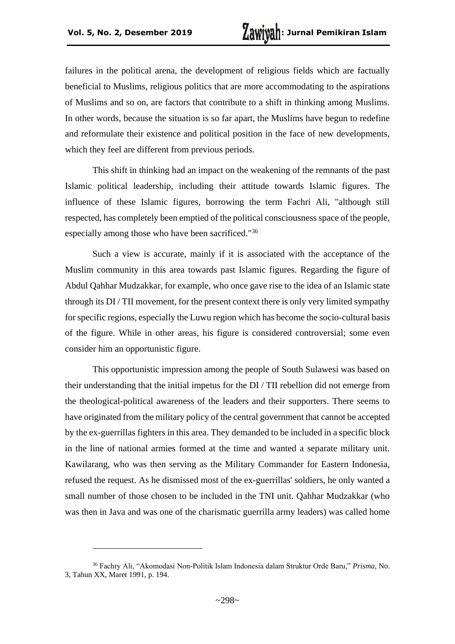failures in the political arena, the development of religious fields which are factually beneficial to Muslims, religious politics that are more accommodating to the aspirations of Muslims and so on, are factors that contribute to a shift in thinking among Muslims. In other words, because the situation is so far apart, the Muslims have begun to redefine and reformulate their existence and political position in the face of new developments, which they feel are different from previous periods.

This shift in thinking had an impact on the weakening of the remnants of the past Islamic political leadership, including their attitude towards Islamic figures. The influence of these Islamic figures, borrowing the term Fachri Ali, "although still respected, has completely been emptied of the political consciousness space of the people, especially among those who have been sacrificed."<sup>36</sup>

Such a view is accurate, mainly if it is associated with the acceptance of the Muslim community in this area towards past Islamic figures. Regarding the figure of Abdul Qahhar Mudzakkar, for example, who once gave rise to the idea of an Islamic state through its DI / TII movement, for the present context there is only very limited sympathy for specific regions, especially the Luwu region which has become the socio-cultural basis of the figure. While in other areas, his figure is considered controversial; some even consider him an opportunistic figure.

This opportunistic impression among the people of South Sulawesi was based on their understanding that the initial impetus for the DI / TII rebellion did not emerge from the theological-political awareness of the leaders and their supporters. There seems to have originated from the military policy of the central government that cannot be accepted by the ex-guerrillas fighters in this area. They demanded to be included in a specific block in the line of national armies formed at the time and wanted a separate military unit. Kawilarang, who was then serving as the Military Commander for Eastern Indonesia, refused the request. As he dismissed most of the ex-guerrillas' soldiers, he only wanted a small number of those chosen to be included in the TNI unit. Qahhar Mudzakkar (who was then in Java and was one of the charismatic guerrilla army leaders) was called home

<sup>36</sup> Fachry Ali, "Akomodasi Non-Politik Islam Indonesia dalam Struktur Orde Baru," *Prisma*, No. 3, Tahun XX, Maret 1991, p. 194.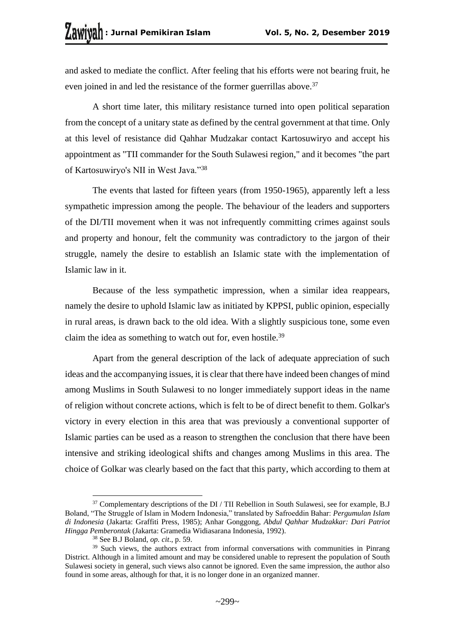and asked to mediate the conflict. After feeling that his efforts were not bearing fruit, he even joined in and led the resistance of the former guerrillas above.<sup>37</sup>

A short time later, this military resistance turned into open political separation from the concept of a unitary state as defined by the central government at that time. Only at this level of resistance did Qahhar Mudzakar contact Kartosuwiryo and accept his appointment as "TII commander for the South Sulawesi region," and it becomes "the part of Kartosuwiryo's NII in West Java."<sup>38</sup>

The events that lasted for fifteen years (from 1950-1965), apparently left a less sympathetic impression among the people. The behaviour of the leaders and supporters of the DI/TII movement when it was not infrequently committing crimes against souls and property and honour, felt the community was contradictory to the jargon of their struggle, namely the desire to establish an Islamic state with the implementation of Islamic law in it.

Because of the less sympathetic impression, when a similar idea reappears, namely the desire to uphold Islamic law as initiated by KPPSI, public opinion, especially in rural areas, is drawn back to the old idea. With a slightly suspicious tone, some even claim the idea as something to watch out for, even hostile.<sup>39</sup>

Apart from the general description of the lack of adequate appreciation of such ideas and the accompanying issues, it is clear that there have indeed been changes of mind among Muslims in South Sulawesi to no longer immediately support ideas in the name of religion without concrete actions, which is felt to be of direct benefit to them. Golkar's victory in every election in this area that was previously a conventional supporter of Islamic parties can be used as a reason to strengthen the conclusion that there have been intensive and striking ideological shifts and changes among Muslims in this area. The choice of Golkar was clearly based on the fact that this party, which according to them at

<sup>&</sup>lt;sup>37</sup> Complementary descriptions of the DI / TII Rebellion in South Sulawesi, see for example, B.J Boland, "The Struggle of Islam in Modern Indonesia," translated by Safroeddin Bahar: *Pergumulan Islam di Indonesia* (Jakarta: Graffiti Press, 1985); Anhar Gonggong, *Abdul Qahhar Mudzakkar: Dari Patriot Hingga Pemberontak* (Jakarta: Gramedia Widiasarana Indonesia, 1992).

<sup>38</sup> See B.J Boland, *op. cit*., p. 59.

<sup>&</sup>lt;sup>39</sup> Such views, the authors extract from informal conversations with communities in Pinrang District. Although in a limited amount and may be considered unable to represent the population of South Sulawesi society in general, such views also cannot be ignored. Even the same impression, the author also found in some areas, although for that, it is no longer done in an organized manner.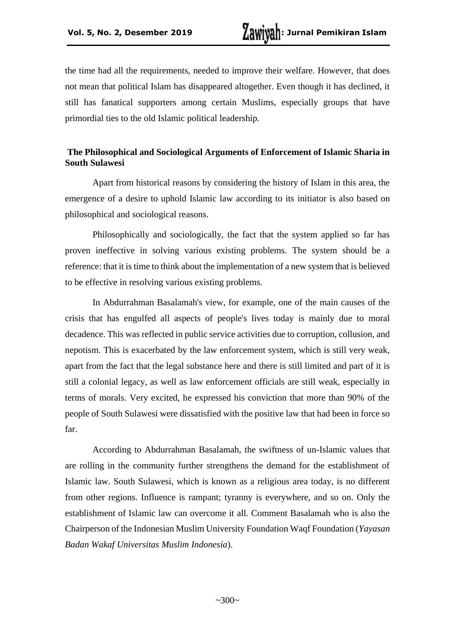the time had all the requirements, needed to improve their welfare. However, that does not mean that political Islam has disappeared altogether. Even though it has declined, it still has fanatical supporters among certain Muslims, especially groups that have primordial ties to the old Islamic political leadership.

## **The Philosophical and Sociological Arguments of Enforcement of Islamic Sharia in South Sulawesi**

Apart from historical reasons by considering the history of Islam in this area, the emergence of a desire to uphold Islamic law according to its initiator is also based on philosophical and sociological reasons.

Philosophically and sociologically, the fact that the system applied so far has proven ineffective in solving various existing problems. The system should be a reference: that it is time to think about the implementation of a new system that is believed to be effective in resolving various existing problems.

In Abdurrahman Basalamah's view, for example, one of the main causes of the crisis that has engulfed all aspects of people's lives today is mainly due to moral decadence. This was reflected in public service activities due to corruption, collusion, and nepotism. This is exacerbated by the law enforcement system, which is still very weak, apart from the fact that the legal substance here and there is still limited and part of it is still a colonial legacy, as well as law enforcement officials are still weak, especially in terms of morals. Very excited, he expressed his conviction that more than 90% of the people of South Sulawesi were dissatisfied with the positive law that had been in force so far.

According to Abdurrahman Basalamah, the swiftness of un-Islamic values that are rolling in the community further strengthens the demand for the establishment of Islamic law. South Sulawesi, which is known as a religious area today, is no different from other regions. Influence is rampant; tyranny is everywhere, and so on. Only the establishment of Islamic law can overcome it all. Comment Basalamah who is also the Chairperson of the Indonesian Muslim University Foundation Waqf Foundation (*Yayasan Badan Wakaf Universitas Muslim Indonesia*).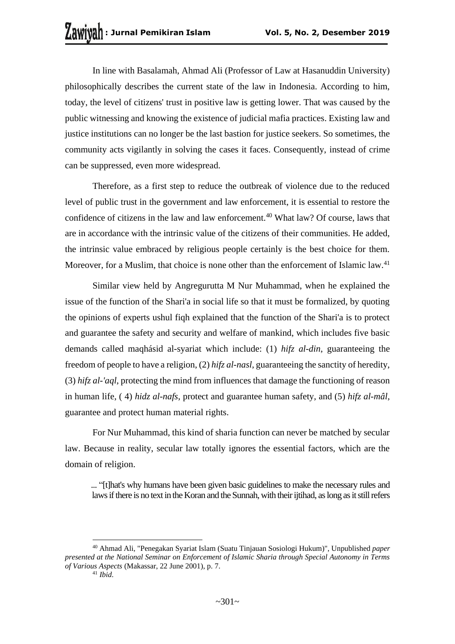In line with Basalamah, Ahmad Ali (Professor of Law at Hasanuddin University) philosophically describes the current state of the law in Indonesia. According to him, today, the level of citizens' trust in positive law is getting lower. That was caused by the public witnessing and knowing the existence of judicial mafia practices. Existing law and justice institutions can no longer be the last bastion for justice seekers. So sometimes, the community acts vigilantly in solving the cases it faces. Consequently, instead of crime can be suppressed, even more widespread.

Therefore, as a first step to reduce the outbreak of violence due to the reduced level of public trust in the government and law enforcement, it is essential to restore the confidence of citizens in the law and law enforcement.<sup>40</sup> What law? Of course, laws that are in accordance with the intrinsic value of the citizens of their communities. He added, the intrinsic value embraced by religious people certainly is the best choice for them. Moreover, for a Muslim, that choice is none other than the enforcement of Islamic law.<sup>41</sup>

Similar view held by Angregurutta M Nur Muhammad, when he explained the issue of the function of the Shari'a in social life so that it must be formalized, by quoting the opinions of experts ushul fiqh explained that the function of the Shari'a is to protect and guarantee the safety and security and welfare of mankind, which includes five basic demands called maqhásid al-syariat which include: (1) *hifz al-din*, guaranteeing the freedom of people to have a religion, (2) *hifz al-nasl*, guaranteeing the sanctity of heredity, (3) *hifz al-'aql*, protecting the mind from influences that damage the functioning of reason in human life, ( 4) *hidz al-nafs*, protect and guarantee human safety, and (5) *hifz al-mâl*, guarantee and protect human material rights.

For Nur Muhammad, this kind of sharia function can never be matched by secular law. Because in reality, secular law totally ignores the essential factors, which are the domain of religion.

... "[t]hat's why humans have been given basic guidelines to make the necessary rules and laws if there is no text in the Koran and the Sunnah, with their ijtihad, as long as it still refers

<sup>40</sup> Ahmad Ali, "Penegakan Syariat Islam (Suatu Tinjauan Sosiologi Hukum)", Unpublished *paper presented at the National Seminar on Enforcement of Islamic Sharia through Special Autonomy in Terms of Various Aspects* (Makassar, 22 June 2001), p. 7.

<sup>41</sup> *Ibid*.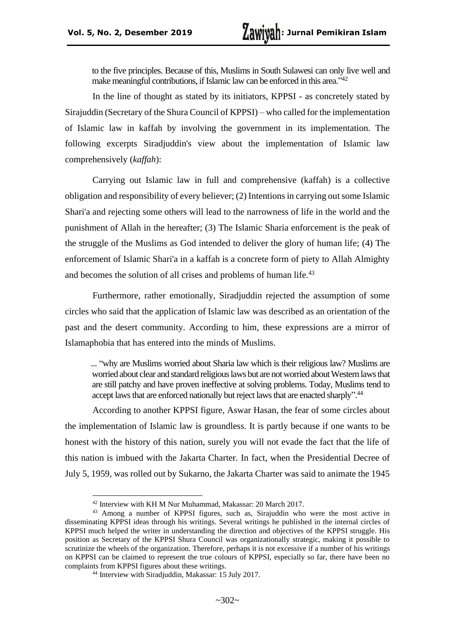to the five principles. Because of this, Muslims in South Sulawesi can only live well and make meaningful contributions, if Islamic law can be enforced in this area."<sup>42</sup>

In the line of thought as stated by its initiators, KPPSI - as concretely stated by Sirajuddin (Secretary of the Shura Council of KPPSI) – who called for the implementation of Islamic law in kaffah by involving the government in its implementation. The following excerpts Siradjuddin's view about the implementation of Islamic law comprehensively (*kaffah*):

Carrying out Islamic law in full and comprehensive (kaffah) is a collective obligation and responsibility of every believer; (2) Intentions in carrying out some Islamic Shari'a and rejecting some others will lead to the narrowness of life in the world and the punishment of Allah in the hereafter; (3) The Islamic Sharia enforcement is the peak of the struggle of the Muslims as God intended to deliver the glory of human life; (4) The enforcement of Islamic Shari'a in a kaffah is a concrete form of piety to Allah Almighty and becomes the solution of all crises and problems of human life.<sup>43</sup>

Furthermore, rather emotionally, Siradjuddin rejected the assumption of some circles who said that the application of Islamic law was described as an orientation of the past and the desert community. According to him, these expressions are a mirror of Islamaphobia that has entered into the minds of Muslims.

... "why are Muslims worried about Sharia law which is their religious law? Muslims are worried about clear and standard religious laws but are not worried about Western laws that are still patchy and have proven ineffective at solving problems. Today, Muslims tend to accept laws that are enforced nationally but reject laws that are enacted sharply".<sup>44</sup>

According to another KPPSI figure, Aswar Hasan, the fear of some circles about the implementation of Islamic law is groundless. It is partly because if one wants to be honest with the history of this nation, surely you will not evade the fact that the life of this nation is imbued with the Jakarta Charter. In fact, when the Presidential Decree of July 5, 1959, was rolled out by Sukarno, the Jakarta Charter was said to animate the 1945

<sup>42</sup> Interview with KH M Nur Muhammad, Makassar: 20 March 2017.

<sup>43</sup> Among a number of KPPSI figures, such as, Sirajuddin who were the most active in disseminating KPPSI ideas through his writings. Several writings he published in the internal circles of KPPSI much helped the writer in understanding the direction and objectives of the KPPSI struggle. His position as Secretary of the KPPSI Shura Council was organizationally strategic, making it possible to scrutinize the wheels of the organization. Therefore, perhaps it is not excessive if a number of his writings on KPPSI can be claimed to represent the true colours of KPPSI, especially so far, there have been no complaints from KPPSI figures about these writings.

<sup>44</sup> Interview with Siradjuddin, Makassar: 15 July 2017.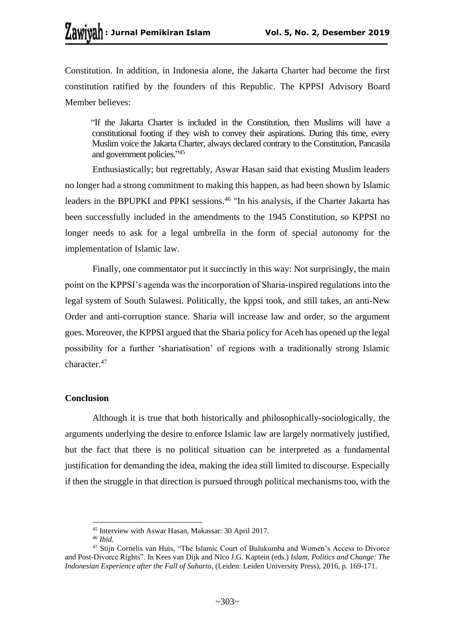Constitution. In addition, in Indonesia alone, the Jakarta Charter had become the first constitution ratified by the founders of this Republic. The KPPSI Advisory Board Member believes:

"If the Jakarta Charter is included in the Constitution, then Muslims will have a constitutional footing if they wish to convey their aspirations. During this time, every Muslim voice the Jakarta Charter, always declared contrary to the Constitution, Pancasila and government policies." 45

Enthusiastically; but regrettably, Aswar Hasan said that existing Muslim leaders no longer had a strong commitment to making this happen, as had been shown by Islamic leaders in the BPUPKI and PPKI sessions.<sup>46</sup> "In his analysis, if the Charter Jakarta has been successfully included in the amendments to the 1945 Constitution, so KPPSI no longer needs to ask for a legal umbrella in the form of special autonomy for the implementation of Islamic law.

Finally, one commentator put it succinctly in this way: Not surprisingly, the main point on the KPPSI's agenda was the incorporation of Sharia-inspired regulations into the legal system of South Sulawesi. Politically, the kppsi took, and still takes, an anti-New Order and anti-corruption stance. Sharia will increase law and order, so the argument goes. Moreover, the KPPSI argued that the Sharia policy for Aceh has opened up the legal possibility for a further 'shariatisation' of regions with a traditionally strong Islamic character.<sup>47</sup>

# **Conclusion**

Although it is true that both historically and philosophically-sociologically, the arguments underlying the desire to enforce Islamic law are largely normatively justified, but the fact that there is no political situation can be interpreted as a fundamental justification for demanding the idea, making the idea still limited to discourse. Especially if then the struggle in that direction is pursued through political mechanisms too, with the

<sup>45</sup> Interview with Aswar Hasan, Makassar: 30 April 2017.

<sup>46</sup> *Ibid*.

<sup>&</sup>lt;sup>47</sup> Stijn Cornelis van Huis, "The Islamic Court of Bulukumba and Women's Access to Divorce and Post-Divorce Rights". In Kees van Dijk and Nico J.G. Kaptein (eds.) *Islam, Politics and Change: The Indonesian Experience after the Fall of Suharto,* (Leiden: Leiden University Press), 2016, p. 169-171.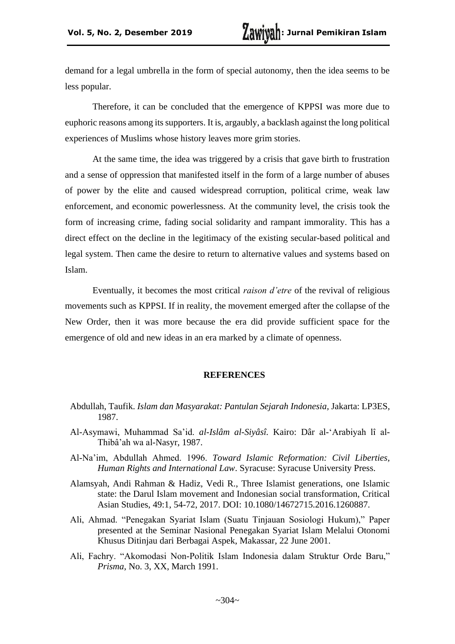demand for a legal umbrella in the form of special autonomy, then the idea seems to be less popular.

Therefore, it can be concluded that the emergence of KPPSI was more due to euphoric reasons among its supporters. It is, argaubly, a backlash against the long political experiences of Muslims whose history leaves more grim stories.

At the same time, the idea was triggered by a crisis that gave birth to frustration and a sense of oppression that manifested itself in the form of a large number of abuses of power by the elite and caused widespread corruption, political crime, weak law enforcement, and economic powerlessness. At the community level, the crisis took the form of increasing crime, fading social solidarity and rampant immorality. This has a direct effect on the decline in the legitimacy of the existing secular-based political and legal system. Then came the desire to return to alternative values and systems based on Islam.

Eventually, it becomes the most critical *raison d'etre* of the revival of religious movements such as KPPSI. If in reality, the movement emerged after the collapse of the New Order, then it was more because the era did provide sufficient space for the emergence of old and new ideas in an era marked by a climate of openness.

### **REFERENCES**

- Abdullah, Taufik. *Islam dan Masyarakat: Pantulan Sejarah Indonesia,* Jakarta: LP3ES, 1987.
- Al-Asymawi, Muhammad Sa'id. *al-Islâm al-Siyâsî.* Kairo: Dâr al-'Arabiyah lî al-Thibâ'ah wa al-Nasyr, 1987.
- Al-Na'im, Abdullah Ahmed. 1996. *Toward Islamic Reformation: Civil Liberties, Human Rights and International Law*. Syracuse: Syracuse University Press.
- Alamsyah, Andi Rahman & Hadiz, Vedi R., Three Islamist generations, one Islamic state: the Darul Islam movement and Indonesian social transformation, Critical Asian Studies, 49:1, 54-72, 2017. DOI: 10.1080/14672715.2016.1260887.
- Ali, Ahmad. "Penegakan Syariat Islam (Suatu Tinjauan Sosiologi Hukum)," Paper presented at the Seminar Nasional Penegakan Syariat Islam Melalui Otonomi Khusus Ditinjau dari Berbagai Aspek, Makassar, 22 June 2001.
- Ali, Fachry. "Akomodasi Non-Politik Islam Indonesia dalam Struktur Orde Baru," *Prisma*, No. 3, XX, March 1991.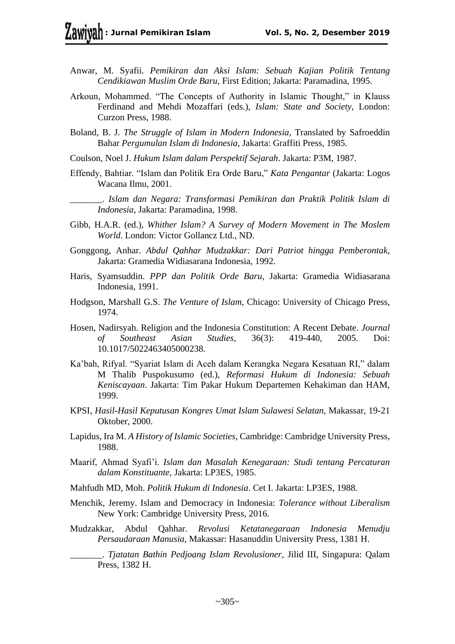- Anwar, M. Syafii. *Pemikiran dan Aksi Islam: Sebuah Kajian Politik Tentang Cendikiawan Muslim Orde Baru,* First Edition; Jakarta: Paramadina, 1995.
- Arkoun, Mohammed. "The Concepts of Authority in Islamic Thought," in Klauss Ferdinand and Mehdi Mozaffari (eds.), *Islam: State and Society,* London: Curzon Press, 1988.
- Boland, B. J. *The Struggle of Islam in Modern Indonesia*, Translated by Safroeddin Bahar *Pergumulan Islam di Indonesia*, Jakarta: Graffiti Press, 1985.
- Coulson, Noel J. *Hukum Islam dalam Perspektif Sejarah*. Jakarta: P3M, 1987.
- Effendy, Bahtiar. "Islam dan Politik Era Orde Baru," *Kata Pengantar* (Jakarta: Logos Wacana Ilmu, 2001.
	- \_\_\_\_\_\_\_. *Islam dan Negara: Transformasi Pemikiran dan Praktik Politik Islam di Indonesia,* Jakarta: Paramadina, 1998.
- Gibb, H.A.R. (ed.), *Whither Islam? A Survey of Modern Movement in The Moslem World*. London: Victor Gollancz Ltd., ND.
- Gonggong, Anhar. *Abdul Qahhar Mudzakkar: Dari Patriot hingga Pemberontak,* Jakarta: Gramedia Widiasarana Indonesia, 1992.
- Haris, Syamsuddin. *PPP dan Politik Orde Baru*, Jakarta: Gramedia Widiasarana Indonesia, 1991.
- Hodgson, Marshall G.S. *The Venture of Islam,* Chicago: University of Chicago Press, 1974.
- Hosen, Nadirsyah. Religion and the Indonesia Constitution: A Recent Debate. *Journal of Southeast Asian Studies,* 36(3): 419-440, 2005. Doi: 10.1017/5022463405000238.
- Ka'bah, Rifyal. "Syariat Islam di Aceh dalam Kerangka Negara Kesatuan RI," dalam M Thalib Puspokusumo (ed.), *Reformasi Hukum di Indonesia: Sebuah Keniscayaan*. Jakarta: Tim Pakar Hukum Departemen Kehakiman dan HAM, 1999.
- KPSI, *Hasil-Hasil Keputusan Kongres Umat Islam Sulawesi Selatan*, Makassar, 19-21 Oktober, 2000.
- Lapidus, Ira M. *A History of Islamic Societies*, Cambridge: Cambridge University Press, 1988.
- Maarif, Ahmad Syafi'i. *Islam dan Masalah Kenegaraan: Studi tentang Percaturan dalam Konstituante,* Jakarta: LP3ES, 1985.
- Mahfudh MD, Moh. *Politik Hukum di Indonesia*. Cet I. Jakarta: LP3ES, 1988.
- Menchik, Jeremy. Islam and Democracy in Indonesia: *Tolerance without Liberalism*  New York: Cambridge University Press, 2016.
- Mudzakkar, Abdul Qahhar. *Revolusi Ketatanegaraan Indonesia Menudju Persaudaraan Manusia*, Makassar: Hasanuddin University Press, 1381 H.

\_\_\_\_\_\_\_. *Tjatatan Bathin Pedjoang Islam Revolusioner*, Jilid III, Singapura: Qalam Press, 1382 H.